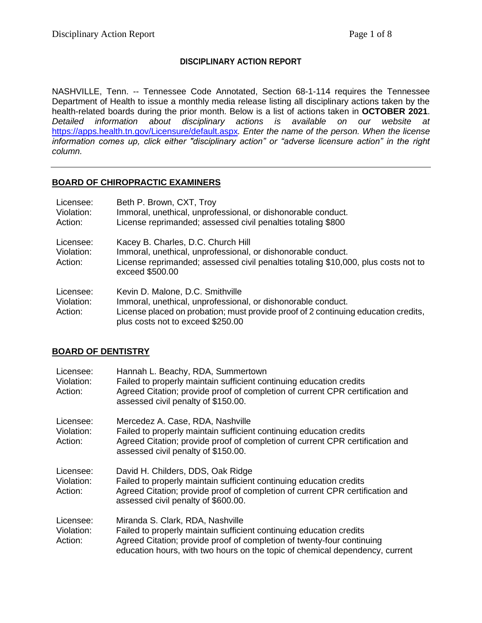### **DISCIPLINARY ACTION REPORT**

NASHVILLE, Tenn. -- Tennessee Code Annotated, Section 68-1-114 requires the Tennessee Department of Health to issue a monthly media release listing all disciplinary actions taken by the health-related boards during the prior month. Below is a list of actions taken in **OCTOBER 2021**. *Detailed information about disciplinary actions is available on our website at*  <https://apps.health.tn.gov/Licensure/default.aspx>*. Enter the name of the person. When the license information comes up, click either "disciplinary action" or "adverse licensure action" in the right column.*

#### **BOARD OF CHIROPRACTIC EXAMINERS**

| Licensee:<br>Violation:<br>Action: | Beth P. Brown, CXT, Troy<br>Immoral, unethical, unprofessional, or dishonorable conduct.<br>License reprimanded; assessed civil penalties totaling \$800                                                                    |
|------------------------------------|-----------------------------------------------------------------------------------------------------------------------------------------------------------------------------------------------------------------------------|
| Licensee:<br>Violation:<br>Action: | Kacey B. Charles, D.C. Church Hill<br>Immoral, unethical, unprofessional, or dishonorable conduct.<br>License reprimanded; assessed civil penalties totaling \$10,000, plus costs not to<br>exceed \$500.00                 |
| Licensee:<br>Violation:<br>Action: | Kevin D. Malone, D.C. Smithville<br>Immoral, unethical, unprofessional, or dishonorable conduct.<br>License placed on probation; must provide proof of 2 continuing education credits,<br>plus costs not to exceed \$250.00 |

#### **BOARD OF DENTISTRY**

| Licensee:<br>Violation:<br>Action: | Hannah L. Beachy, RDA, Summertown<br>Failed to properly maintain sufficient continuing education credits<br>Agreed Citation; provide proof of completion of current CPR certification and<br>assessed civil penalty of \$150.00.                                  |
|------------------------------------|-------------------------------------------------------------------------------------------------------------------------------------------------------------------------------------------------------------------------------------------------------------------|
| Licensee:<br>Violation:<br>Action: | Mercedez A. Case, RDA, Nashville<br>Failed to properly maintain sufficient continuing education credits<br>Agreed Citation; provide proof of completion of current CPR certification and<br>assessed civil penalty of \$150.00.                                   |
| Licensee:<br>Violation:<br>Action: | David H. Childers, DDS, Oak Ridge<br>Failed to properly maintain sufficient continuing education credits<br>Agreed Citation; provide proof of completion of current CPR certification and<br>assessed civil penalty of \$600.00.                                  |
| Licensee:<br>Violation:<br>Action: | Miranda S. Clark, RDA, Nashville<br>Failed to properly maintain sufficient continuing education credits<br>Agreed Citation; provide proof of completion of twenty-four continuing<br>education hours, with two hours on the topic of chemical dependency, current |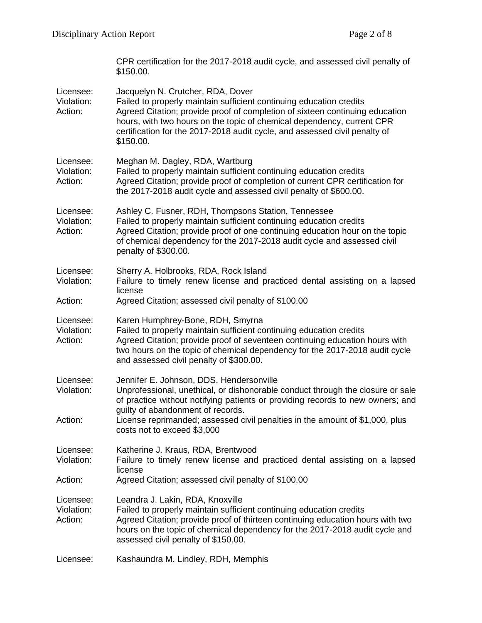|                                    | CPR certification for the 2017-2018 audit cycle, and assessed civil penalty of<br>\$150.00.                                                                                                                                                                                                                                                                      |
|------------------------------------|------------------------------------------------------------------------------------------------------------------------------------------------------------------------------------------------------------------------------------------------------------------------------------------------------------------------------------------------------------------|
| Licensee:<br>Violation:<br>Action: | Jacquelyn N. Crutcher, RDA, Dover<br>Failed to properly maintain sufficient continuing education credits<br>Agreed Citation; provide proof of completion of sixteen continuing education<br>hours, with two hours on the topic of chemical dependency, current CPR<br>certification for the 2017-2018 audit cycle, and assessed civil penalty of<br>\$150.00.    |
| Licensee:<br>Violation:<br>Action: | Meghan M. Dagley, RDA, Wartburg<br>Failed to properly maintain sufficient continuing education credits<br>Agreed Citation; provide proof of completion of current CPR certification for<br>the 2017-2018 audit cycle and assessed civil penalty of \$600.00.                                                                                                     |
| Licensee:<br>Violation:<br>Action: | Ashley C. Fusner, RDH, Thompsons Station, Tennessee<br>Failed to properly maintain sufficient continuing education credits<br>Agreed Citation; provide proof of one continuing education hour on the topic<br>of chemical dependency for the 2017-2018 audit cycle and assessed civil<br>penalty of \$300.00.                                                    |
| Licensee:<br>Violation:            | Sherry A. Holbrooks, RDA, Rock Island<br>Failure to timely renew license and practiced dental assisting on a lapsed<br>license                                                                                                                                                                                                                                   |
| Action:                            | Agreed Citation; assessed civil penalty of \$100.00                                                                                                                                                                                                                                                                                                              |
| Licensee:<br>Violation:<br>Action: | Karen Humphrey-Bone, RDH, Smyrna<br>Failed to properly maintain sufficient continuing education credits<br>Agreed Citation; provide proof of seventeen continuing education hours with<br>two hours on the topic of chemical dependency for the 2017-2018 audit cycle<br>and assessed civil penalty of \$300.00.                                                 |
| Licensee:<br>Violation:<br>Action: | Jennifer E. Johnson, DDS, Hendersonville<br>Unprofessional, unethical, or dishonorable conduct through the closure or sale<br>of practice without notifying patients or providing records to new owners; and<br>guilty of abandonment of records.<br>License reprimanded; assessed civil penalties in the amount of \$1,000, plus<br>costs not to exceed \$3,000 |
| Licensee:<br>Violation:            | Katherine J. Kraus, RDA, Brentwood<br>Failure to timely renew license and practiced dental assisting on a lapsed<br>license                                                                                                                                                                                                                                      |
| Action:                            | Agreed Citation; assessed civil penalty of \$100.00                                                                                                                                                                                                                                                                                                              |
| Licensee:<br>Violation:<br>Action: | Leandra J. Lakin, RDA, Knoxville<br>Failed to properly maintain sufficient continuing education credits<br>Agreed Citation; provide proof of thirteen continuing education hours with two<br>hours on the topic of chemical dependency for the 2017-2018 audit cycle and<br>assessed civil penalty of \$150.00.                                                  |
| Licensee:                          | Kashaundra M. Lindley, RDH, Memphis                                                                                                                                                                                                                                                                                                                              |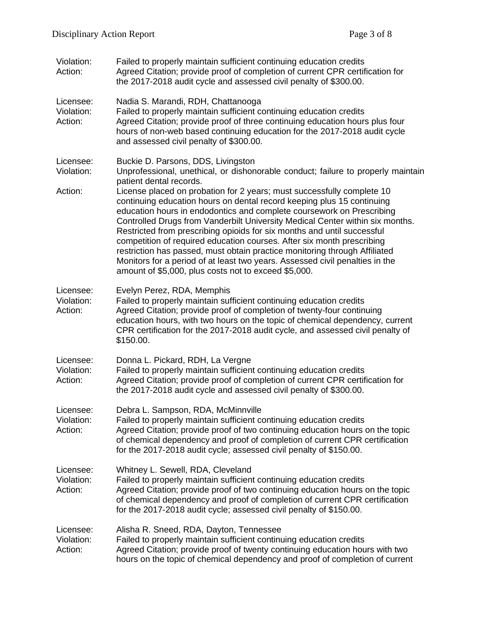| Violation:<br>Action:              | Failed to properly maintain sufficient continuing education credits<br>Agreed Citation; provide proof of completion of current CPR certification for<br>the 2017-2018 audit cycle and assessed civil penalty of \$300.00.                                                                                                                                                                                                                                                                                                                                                                                                                                                             |
|------------------------------------|---------------------------------------------------------------------------------------------------------------------------------------------------------------------------------------------------------------------------------------------------------------------------------------------------------------------------------------------------------------------------------------------------------------------------------------------------------------------------------------------------------------------------------------------------------------------------------------------------------------------------------------------------------------------------------------|
| Licensee:<br>Violation:<br>Action: | Nadia S. Marandi, RDH, Chattanooga<br>Failed to properly maintain sufficient continuing education credits<br>Agreed Citation; provide proof of three continuing education hours plus four<br>hours of non-web based continuing education for the 2017-2018 audit cycle<br>and assessed civil penalty of \$300.00.                                                                                                                                                                                                                                                                                                                                                                     |
| Licensee:<br>Violation:            | Buckie D. Parsons, DDS, Livingston<br>Unprofessional, unethical, or dishonorable conduct; failure to properly maintain<br>patient dental records.                                                                                                                                                                                                                                                                                                                                                                                                                                                                                                                                     |
| Action:                            | License placed on probation for 2 years; must successfully complete 10<br>continuing education hours on dental record keeping plus 15 continuing<br>education hours in endodontics and complete coursework on Prescribing<br>Controlled Drugs from Vanderbilt University Medical Center within six months.<br>Restricted from prescribing opioids for six months and until successful<br>competition of required education courses. After six month prescribing<br>restriction has passed, must obtain practice monitoring through Affiliated<br>Monitors for a period of at least two years. Assessed civil penalties in the<br>amount of \$5,000, plus costs not to exceed \$5,000. |
| Licensee:<br>Violation:<br>Action: | Evelyn Perez, RDA, Memphis<br>Failed to properly maintain sufficient continuing education credits<br>Agreed Citation; provide proof of completion of twenty-four continuing<br>education hours, with two hours on the topic of chemical dependency, current<br>CPR certification for the 2017-2018 audit cycle, and assessed civil penalty of<br>\$150.00.                                                                                                                                                                                                                                                                                                                            |
| Licensee:<br>Violation:<br>Action: | Donna L. Pickard, RDH, La Vergne<br>Failed to properly maintain sufficient continuing education credits<br>Agreed Citation; provide proof of completion of current CPR certification for<br>the 2017-2018 audit cycle and assessed civil penalty of \$300.00.                                                                                                                                                                                                                                                                                                                                                                                                                         |
| Licensee:<br>Violation:<br>Action: | Debra L. Sampson, RDA, McMinnville<br>Failed to properly maintain sufficient continuing education credits<br>Agreed Citation; provide proof of two continuing education hours on the topic<br>of chemical dependency and proof of completion of current CPR certification<br>for the 2017-2018 audit cycle; assessed civil penalty of \$150.00.                                                                                                                                                                                                                                                                                                                                       |
| Licensee:<br>Violation:<br>Action: | Whitney L. Sewell, RDA, Cleveland<br>Failed to properly maintain sufficient continuing education credits<br>Agreed Citation; provide proof of two continuing education hours on the topic<br>of chemical dependency and proof of completion of current CPR certification<br>for the 2017-2018 audit cycle; assessed civil penalty of \$150.00.                                                                                                                                                                                                                                                                                                                                        |
| Licensee:<br>Violation:<br>Action: | Alisha R. Sneed, RDA, Dayton, Tennessee<br>Failed to properly maintain sufficient continuing education credits<br>Agreed Citation; provide proof of twenty continuing education hours with two<br>hours on the topic of chemical dependency and proof of completion of current                                                                                                                                                                                                                                                                                                                                                                                                        |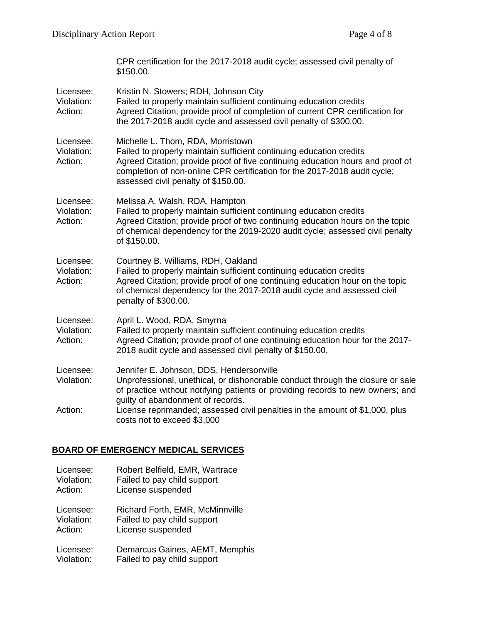|                                    | CPR certification for the 2017-2018 audit cycle; assessed civil penalty of<br>\$150.00.                                                                                                                                                                                                                        |
|------------------------------------|----------------------------------------------------------------------------------------------------------------------------------------------------------------------------------------------------------------------------------------------------------------------------------------------------------------|
| Licensee:<br>Violation:<br>Action: | Kristin N. Stowers; RDH, Johnson City<br>Failed to properly maintain sufficient continuing education credits<br>Agreed Citation; provide proof of completion of current CPR certification for<br>the 2017-2018 audit cycle and assessed civil penalty of \$300.00.                                             |
| Licensee:<br>Violation:<br>Action: | Michelle L. Thom, RDA, Morristown<br>Failed to properly maintain sufficient continuing education credits<br>Agreed Citation; provide proof of five continuing education hours and proof of<br>completion of non-online CPR certification for the 2017-2018 audit cycle;<br>assessed civil penalty of \$150.00. |
| Licensee:<br>Violation:<br>Action: | Melissa A. Walsh, RDA, Hampton<br>Failed to properly maintain sufficient continuing education credits<br>Agreed Citation; provide proof of two continuing education hours on the topic<br>of chemical dependency for the 2019-2020 audit cycle; assessed civil penalty<br>of \$150.00.                         |
| Licensee:<br>Violation:<br>Action: | Courtney B. Williams, RDH, Oakland<br>Failed to properly maintain sufficient continuing education credits<br>Agreed Citation; provide proof of one continuing education hour on the topic<br>of chemical dependency for the 2017-2018 audit cycle and assessed civil<br>penalty of \$300.00.                   |
| Licensee:<br>Violation:<br>Action: | April L. Wood, RDA, Smyrna<br>Failed to properly maintain sufficient continuing education credits<br>Agreed Citation; provide proof of one continuing education hour for the 2017-<br>2018 audit cycle and assessed civil penalty of \$150.00.                                                                 |
| Licensee:<br>Violation:            | Jennifer E. Johnson, DDS, Hendersonville<br>Unprofessional, unethical, or dishonorable conduct through the closure or sale<br>of practice without notifying patients or providing records to new owners; and<br>guilty of abandonment of records.                                                              |
| Action:                            | License reprimanded; assessed civil penalties in the amount of \$1,000, plus<br>costs not to exceed \$3,000                                                                                                                                                                                                    |

# **BOARD OF EMERGENCY MEDICAL SERVICES**

- Licensee: Robert Belfield, EMR, Wartrace<br>Violation: Failed to pay child support
- Violation: Failed to pay child support<br>Action: License suspended
- License suspended

Licensee: Richard Forth, EMR, McMinnville

Violation: Failed to pay child support

Action: License suspended

Licensee: Demarcus Gaines, AEMT, Memphis<br>Violation: Failed to pay child support Failed to pay child support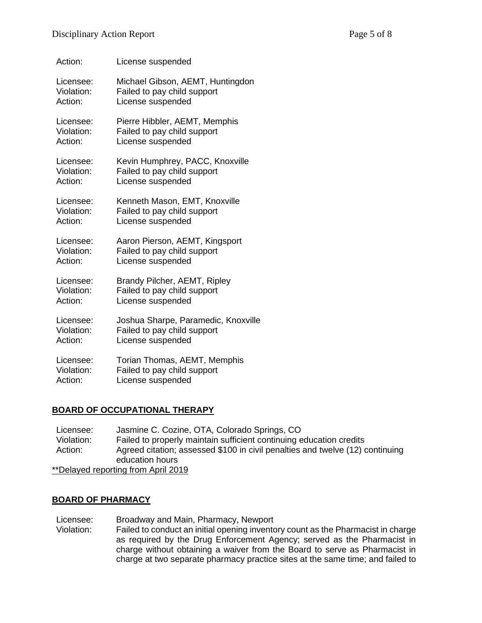| Action:    | License suspended                   |
|------------|-------------------------------------|
| Licensee:  | Michael Gibson, AEMT, Huntingdon    |
| Violation: | Failed to pay child support         |
| Action:    | License suspended                   |
| Licensee:  | Pierre Hibbler, AEMT, Memphis       |
| Violation: | Failed to pay child support         |
| Action:    | License suspended                   |
| Licensee:  | Kevin Humphrey, PACC, Knoxville     |
| Violation: | Failed to pay child support         |
| Action:    | License suspended                   |
| Licensee:  | Kenneth Mason, EMT, Knoxville       |
| Violation: | Failed to pay child support         |
| Action:    | License suspended                   |
| Licensee:  | Aaron Pierson, AEMT, Kingsport      |
| Violation: | Failed to pay child support         |
| Action:    | License suspended                   |
| Licensee:  | Brandy Pilcher, AEMT, Ripley        |
| Violation: | Failed to pay child support         |
| Action:    | License suspended                   |
| Licensee:  | Joshua Sharpe, Paramedic, Knoxville |
| Violation: | Failed to pay child support         |
| Action:    | License suspended                   |
| Licensee:  | Torian Thomas, AEMT, Memphis        |
| Violation: | Failed to pay child support         |
| Action:    | License suspended                   |

# **BOARD OF OCCUPATIONAL THERAPY**

Licensee: Jasmine C. Cozine, OTA, Colorado Springs, CO Violation: Failed to properly maintain sufficient continuing education credits Action: Agreed citation; assessed \$100 in civil penalties and twelve (12) continuing education hours \*\*Delayed reporting from April 2019

# **BOARD OF PHARMACY**

Licensee: Broadway and Main, Pharmacy, Newport Violation: Failed to conduct an initial opening inventory count as the Pharmacist in charge as required by the Drug Enforcement Agency; served as the Pharmacist in charge without obtaining a waiver from the Board to serve as Pharmacist in charge at two separate pharmacy practice sites at the same time; and failed to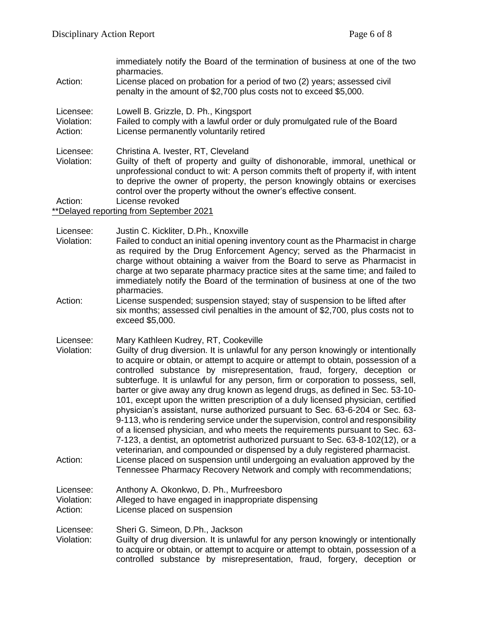|            | immediately notify the Board of the termination of business at one of the two<br>pharmacies.                                                    |
|------------|-------------------------------------------------------------------------------------------------------------------------------------------------|
| Action:    | License placed on probation for a period of two (2) years; assessed civil<br>penalty in the amount of \$2,700 plus costs not to exceed \$5,000. |
| Licensee:  | Lowell B. Grizzle, D. Ph., Kingsport                                                                                                            |
| Violation: | Failed to comply with a lawful order or duly promulgated rule of the Board                                                                      |
| Action:    | License permanently voluntarily retired                                                                                                         |
| Licensee:  | Christina A. Ivester, RT, Cleveland                                                                                                             |
| Violation: | Guilty of theft of property and guilty of dishonorable, immoral, unethical or                                                                   |
|            | unprofessional conduct to wit: A person commits theft of property if, with intent                                                               |
|            | to deprive the owner of property, the person knowingly obtains or exercises                                                                     |
|            | control over the property without the owner's effective consent.                                                                                |
| Action:    | License revoked                                                                                                                                 |
|            | **Delayed reporting from September 2021                                                                                                         |
|            |                                                                                                                                                 |

Licensee: Justin C. Kickliter, D.Ph., Knoxville

- Violation: Failed to conduct an initial opening inventory count as the Pharmacist in charge as required by the Drug Enforcement Agency; served as the Pharmacist in charge without obtaining a waiver from the Board to serve as Pharmacist in charge at two separate pharmacy practice sites at the same time; and failed to immediately notify the Board of the termination of business at one of the two pharmacies.
- Action: License suspended; suspension stayed; stay of suspension to be lifted after six months; assessed civil penalties in the amount of \$2,700, plus costs not to exceed \$5,000.
- Licensee: Mary Kathleen Kudrey, RT, Cookeville
- Violation: Guilty of drug diversion. It is unlawful for any person knowingly or intentionally to acquire or obtain, or attempt to acquire or attempt to obtain, possession of a controlled substance by misrepresentation, fraud, forgery, deception or subterfuge. It is unlawful for any person, firm or corporation to possess, sell, barter or give away any drug known as legend drugs, as defined in Sec. 53-10- 101, except upon the written prescription of a duly licensed physician, certified physician's assistant, nurse authorized pursuant to Sec. 63-6-204 or Sec. 63- 9-113, who is rendering service under the supervision, control and responsibility of a licensed physician, and who meets the requirements pursuant to Sec. 63- 7-123, a dentist, an optometrist authorized pursuant to Sec. 63-8-102(12), or a veterinarian, and compounded or dispensed by a duly registered pharmacist. Action: License placed on suspension until undergoing an evaluation approved by the Tennessee Pharmacy Recovery Network and comply with recommendations;

#### Licensee: Anthony A. Okonkwo, D. Ph., Murfreesboro Violation: Alleged to have engaged in inappropriate dispensing Action: License placed on suspension

Licensee: Sheri G. Simeon, D.Ph., Jackson

Violation: Guilty of drug diversion. It is unlawful for any person knowingly or intentionally to acquire or obtain, or attempt to acquire or attempt to obtain, possession of a controlled substance by misrepresentation, fraud, forgery, deception or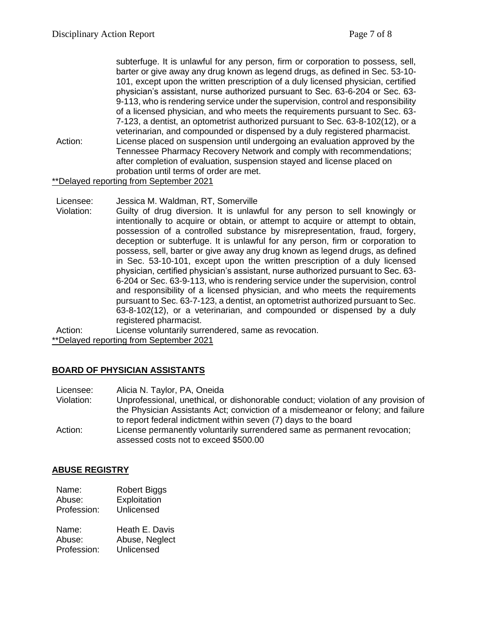|         | subterfuge. It is unlawful for any person, firm or corporation to possess, sell,  |
|---------|-----------------------------------------------------------------------------------|
|         | barter or give away any drug known as legend drugs, as defined in Sec. 53-10-     |
|         | 101, except upon the written prescription of a duly licensed physician, certified |
|         | physician's assistant, nurse authorized pursuant to Sec. 63-6-204 or Sec. 63-     |
|         | 9-113, who is rendering service under the supervision, control and responsibility |
|         | of a licensed physician, and who meets the requirements pursuant to Sec. 63-      |
|         | 7-123, a dentist, an optometrist authorized pursuant to Sec. 63-8-102(12), or a   |
|         | veterinarian, and compounded or dispensed by a duly registered pharmacist.        |
| Action: | License placed on suspension until undergoing an evaluation approved by the       |
|         | Tennessee Pharmacy Recovery Network and comply with recommendations;              |
|         | after completion of evaluation, suspension stayed and license placed on           |
|         | probation until terms of order are met.                                           |
|         | **Delayed reporting from September 2021                                           |

Licensee: Jessica M. Waldman, RT, Somerville

Violation: Guilty of drug diversion. It is unlawful for any person to sell knowingly or intentionally to acquire or obtain, or attempt to acquire or attempt to obtain, possession of a controlled substance by misrepresentation, fraud, forgery, deception or subterfuge. It is unlawful for any person, firm or corporation to possess, sell, barter or give away any drug known as legend drugs, as defined in Sec. 53-10-101, except upon the written prescription of a duly licensed physician, certified physician's assistant, nurse authorized pursuant to Sec. 63- 6-204 or Sec. 63-9-113, who is rendering service under the supervision, control and responsibility of a licensed physician, and who meets the requirements pursuant to Sec. 63-7-123, a dentist, an optometrist authorized pursuant to Sec. 63-8-102(12), or a veterinarian, and compounded or dispensed by a duly registered pharmacist.

Action: License voluntarily surrendered, same as revocation.

\*\*Delayed reporting from September 2021

# **BOARD OF PHYSICIAN ASSISTANTS**

| Licensee: | Alicia N. Taylor, PA, Oneida |
|-----------|------------------------------|
|-----------|------------------------------|

- Violation: Unprofessional, unethical, or dishonorable conduct; violation of any provision of the Physician Assistants Act; conviction of a misdemeanor or felony; and failure to report federal indictment within seven (7) days to the board
- Action: License permanently voluntarily surrendered same as permanent revocation; assessed costs not to exceed \$500.00

#### **ABUSE REGISTRY**

| Name:  | <b>Robert Biggs</b> |
|--------|---------------------|
| Abuse: | Exploitation        |

Profession: Unlicensed

| Name:       | Heath E. Davis |
|-------------|----------------|
| Abuse:      | Abuse, Neglect |
| Profession: | Unlicensed     |